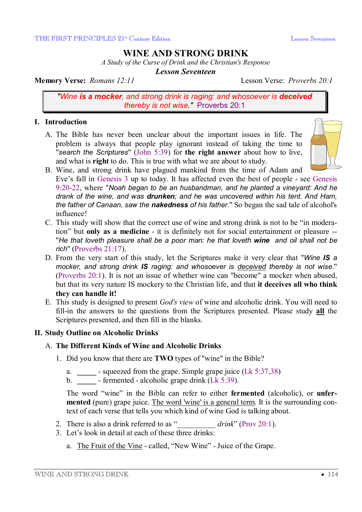# **WINE AND STRONG DRINK**

*A Study of the Curse of Drink and the Christian's Response* 

*Lesson Seventeen* 

**Memory Verse:** *Romans 12:11* Lesson Verse: *Proverbs 20:1*

*"Wine is a mocker, and strong drink is raging: and whosoever is deceived thereby is not wise."* Proverbs 20:1

### **I. Introduction**

A. The Bible has never been unclear about the important issues in life. The problem is always that people play ignorant instead of taking the time to "*search the Scriptures*" (John 5:39) for **the right answer** about how to live, and what is **right** to do. This is true with what we are about to study.



- B. Wine, and strong drink have plagued mankind from the time of Adam and Eve's fall in Genesis 3 up to today. It has affected even the best of people - see Genesis 9:20-22, where "*Noah began to be an husbandman, and he planted a vineyard: And he drank of the wine, and was drunken; and he was uncovered within his tent. And Ham, the father of Canaan, saw the nakedness of his father.*" So began the sad tale of alcohol's influence!
- C. This study will show that the correct use of wine and strong drink is not to be "in moderation" but **only as a medicine** - it is definitely not for social entertainment or pleasure -- "*He that loveth pleasure shall be a poor man: he that loveth wine and oil shall not be rich*" (Proverbs 21:17).
- D. From the very start of this study, let the Scriptures make it very clear that "*Wine IS a mocker, and strong drink IS raging: and whosoever is deceived thereby is not wise*." (Proverbs 20:1). It is not an issue of whether wine can "become" a mocker when abused, but that its very nature IS mockery to the Christian life, and that **it deceives all who think they can handle it!**
- E. This study is designed to present *God's view* of wine and alcoholic drink. You will need to fill-in the answers to the questions from the Scriptures presented. Please study **all** the Scriptures presented, and then fill in the blanks.

### **II. Study Outline on Alcoholic Drinks**

### A. **The Different Kinds of Wine and Alcoholic Drinks**

- 1. Did you know that there are **TWO** types of "wine" in the Bible?
	- a. **\_\_\_\_\_**  squeezed from the grape. Simple grape juice (Lk 5:37,38)
	- b. **\_\_\_\_\_**  fermented alcoholic grape drink (Lk 5:39).

The word "wine" in the Bible can refer to either **fermented** (alcoholic), or **unfermented** (pure) grape juice. The word 'wine' is a general term. It is the surrounding context of each verse that tells you which kind of wine God is talking about.

- 2. There is also a drink referred to as " *drink*" (Prov 20:1).
- 3. Let's look in detail at each of these three drinks:
	- a. The Fruit of the Vine called, "New Wine" Juice of the Grape.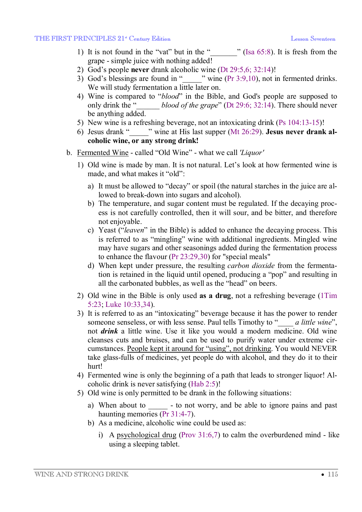- 1) It is not found in the "vat" but in the " $\blacksquare$ " (Isa 65:8). It is fresh from the grape - simple juice with nothing added!
- 2) God's people **never** drank alcoholic wine (Dt 29:5,6; 32:14)!
- 3) God's blessings are found in " $\cdots$  " wine (Pr 3:9,10), not in fermented drinks. We will study fermentation a little later on.
- 4) Wine is compared to "*blood*" in the Bible, and God's people are supposed to only drink the "\_\_\_\_\_\_ *blood of the grape*" (Dt 29:6; 32:14). There should never be anything added.
- 5) New wine is a refreshing beverage, not an intoxicating drink (Ps 104:13-15)!
- 6) Jesus drank "\_\_\_\_\_" wine at His last supper (Mt 26:29). **Jesus never drank alcoholic wine, or any strong drink!**
- b. Fermented Wine called "Old Wine" what we call *'Liquor'*
	- 1) Old wine is made by man. It is not natural. Let's look at how fermented wine is made, and what makes it "old":
		- a) It must be allowed to "decay" or spoil (the natural starches in the juice are allowed to break-down into sugars and alcohol).
		- b) The temperature, and sugar content must be regulated. If the decaying process is not carefully controlled, then it will sour, and be bitter, and therefore not enjoyable.
		- c) Yeast ("*leaven*" in the Bible) is added to enhance the decaying process. This is referred to as "mingling" wine with additional ingredients. Mingled wine may have sugars and other seasonings added during the fermentation process to enhance the flavour (Pr 23:29,30) for "special meals"
		- d) When kept under pressure, the resulting *carbon dioxide* from the fermentation is retained in the liquid until opened, producing a "pop" and resulting in all the carbonated bubbles, as well as the "head" on beers.
	- 2) Old wine in the Bible is only used **as a drug**, not a refreshing beverage (1Tim 5:23; Luke 10:33,34).
	- 3) It is referred to as an "intoxicating" beverage because it has the power to render someone senseless, or with less sense. Paul tells Timothy to "\_\_\_\_ *a little wine*", not *drink* a little wine. Use it like you would a modern medicine. Old wine cleanses cuts and bruises, and can be used to purify water under extreme circumstances. People kept it around for "using", not drinking. You would NEVER take glass-fulls of medicines, yet people do with alcohol, and they do it to their hurt!
	- 4) Fermented wine is only the beginning of a path that leads to stronger liquor! Alcoholic drink is never satisfying (Hab 2:5)!
	- 5) Old wine is only permitted to be drank in the following situations:
		- a) When about to \_\_\_\_\_\_ to not worry, and be able to ignore pains and past haunting memories (Pr 31:4-7).
		- b) As a medicine, alcoholic wine could be used as:
			- i) A psychological drug (Prov  $31:6,7$ ) to calm the overburdened mind like using a sleeping tablet.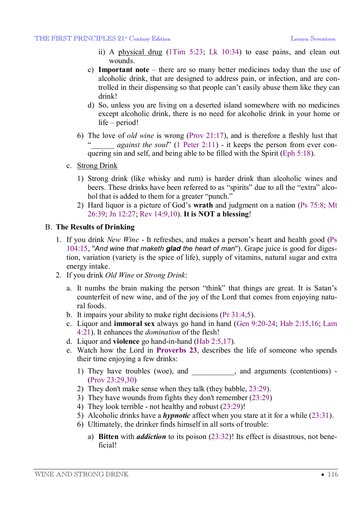- ii) A physical drug (1Tim 5:23; Lk 10:34) to ease pains, and clean out wounds.
- c) **Important note** there are so many better medicines today than the use of alcoholic drink, that are designed to address pain, or infection, and are controlled in their dispensing so that people can't easily abuse them like they can drink!
- d) So, unless you are living on a deserted island somewhere with no medicines except alcoholic drink, there is no need for alcoholic drink in your home or life – period!
- 6) The love of *old wine* is wrong (Prov 21:17), and is therefore a fleshly lust that against the soul<sup>"</sup> (1 Peter 2:11) - it keeps the person from ever conquering sin and self, and being able to be filled with the Spirit (Eph 5:18).
- c. Strong Drink
	- 1) Strong drink (like whisky and rum) is harder drink than alcoholic wines and beers. These drinks have been referred to as "spirits" due to all the "extra" alcohol that is added to them for a greater "punch."
	- 2) Hard liquor is a picture of God's **wrath** and judgment on a nation (Ps 75:8; Mt 26:39; Jn 12:27; Rev 14:9,10). **It is NOT a blessing**!

#### B. **The Results of Drinking**

- 1. If you drink *New Wine* It refreshes, and makes a person's heart and health good (Ps 104:15, "*And wine that maketh glad the heart of man*"). Grape juice is good for digestion, variation (variety is the spice of life), supply of vitamins, natural sugar and extra energy intake.
- 2. If you drink *Old Wine* or *Strong Drink*:
	- a. It numbs the brain making the person "think" that things are great. It is Satan's counterfeit of new wine, and of the joy of the Lord that comes from enjoying natural foods.
	- b. It impairs your ability to make right decisions (Pr 31:4,5).
	- c. Liquor and **immoral sex** always go hand in hand (Gen 9:20-24; Hab 2:15,16; Lam 4:21). It enhances the *domination* of the flesh!
	- d. Liquor and **violence** go hand-in-hand (Hab 2:5,17).
	- e. Watch how the Lord in **Proverbs 23**, describes the life of someone who spends their time enjoying a few drinks:
		- 1) They have troubles (woe), and  $\blacksquare$ , and arguments (contentions) -(Prov 23:29,30)
		- 2) They don't make sense when they talk (they babble, 23:29).
		- 3) They have wounds from fights they don't remember (23:29)
		- 4) They look terrible not healthy and robust (23:29)!
		- 5) Alcoholic drinks have a *hypnotic* affect when you stare at it for a while (23:31).
		- 6) Ultimately, the drinker finds himself in all sorts of trouble:
			- a) **Bitten** with *addiction* to its poison (23:32)! Its effect is disastrous, not beneficial!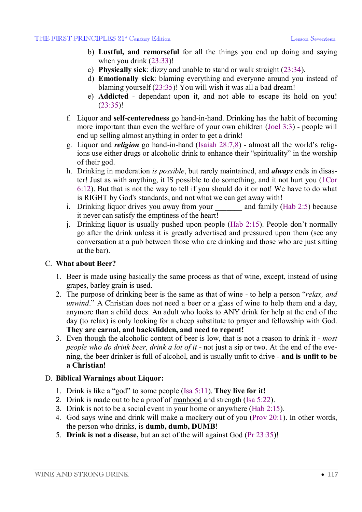- b) **Lustful, and remorseful** for all the things you end up doing and saying when you drink  $(23:33)!$
- c) **Physically sick**: dizzy and unable to stand or walk straight (23:34).
- d) **Emotionally sick**: blaming everything and everyone around you instead of blaming yourself (23:35)! You will wish it was all a bad dream!
- e) **Addicted** dependant upon it, and not able to escape its hold on you! (23:35)!
- f. Liquor and **self-centeredness** go hand-in-hand. Drinking has the habit of becoming more important than even the welfare of your own children (Joel 3:3) - people will end up selling almost anything in order to get a drink!
- g. Liquor and *religion* go hand-in-hand (Isaiah 28:7,8) almost all the world's religions use either drugs or alcoholic drink to enhance their "spirituality" in the worship of their god.
- h. Drinking in moderation *is possible*, but rarely maintained, and *always* ends in disaster! Just as with anything, it IS possible to do something, and it not hurt you (1Cor 6:12). But that is not the way to tell if you should do it or not! We have to do what is RIGHT by God's standards, and not what we can get away with!
- i. Drinking liquor drives you away from your and family (Hab 2:5) because it never can satisfy the emptiness of the heart!
- j. Drinking liquor is usually pushed upon people (Hab 2:15). People don't normally go after the drink unless it is greatly advertised and pressured upon them (see any conversation at a pub between those who are drinking and those who are just sitting at the bar).

### C. **What about Beer?**

- 1. Beer is made using basically the same process as that of wine, except, instead of using grapes, barley grain is used.
- 2. The purpose of drinking beer is the same as that of wine to help a person "*relax, and unwind*." A Christian does not need a beer or a glass of wine to help them end a day, anymore than a child does. An adult who looks to ANY drink for help at the end of the day (to relax) is only looking for a cheep substitute to prayer and fellowship with God. **They are carnal, and backslidden, and need to repent!**
- 3. Even though the alcoholic content of beer is low, that is not a reason to drink it *most people who do drink beer, drink a lot of it* - not just a sip or two. At the end of the evening, the beer drinker is full of alcohol, and is usually unfit to drive - **and is unfit to be a Christian!**

### D. **Biblical Warnings about Liquor:**

- 1. Drink is like a "god" to some people (Isa 5:11). **They live for it!**
- 2. Drink is made out to be a proof of manhood and strength (Isa 5:22).
- 3. Drink is not to be a social event in your home or anywhere (Hab 2:15).
- 4. God says wine and drink will make a mockery out of you (Prov 20:1). In other words, the person who drinks, is **dumb, dumb, DUMB**!
- 5. **Drink is not a disease,** but an act of the will against God (Pr 23:35)!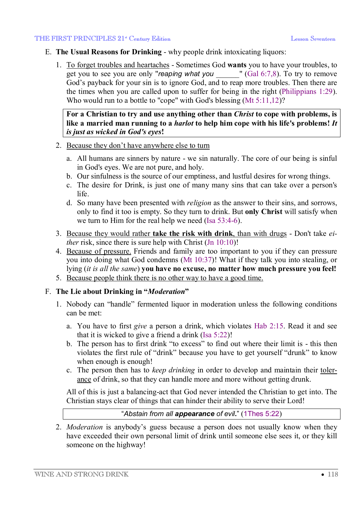- E. **The Usual Reasons for Drinking** why people drink intoxicating liquors:
	- 1. To forget troubles and heartaches Sometimes God **wants** you to have your troubles, to get you to see you are only "*reaping what you* \_\_\_\_\_\_" (Gal 6:7,8). To try to remove God's payback for your sin is to ignore God, and to reap more troubles. Then there are the times when you are called upon to suffer for being in the right (Philippians 1:29). Who would run to a bottle to "cope" with God's blessing (Mt 5:11,12)?

**For a Christian to try and use anything other than** *Christ* **to cope with problems, is like a married man running to a** *harlot* **to help him cope with his life's problems!** *It is just as wicked in God's eyes***!** 

- 2. Because they don't have anywhere else to turn
	- a. All humans are sinners by nature we sin naturally. The core of our being is sinful in God's eyes. We are not pure, and holy.
	- b. Our sinfulness is the source of our emptiness, and lustful desires for wrong things.
	- c. The desire for Drink, is just one of many many sins that can take over a person's life.
	- d. So many have been presented with *religion* as the answer to their sins, and sorrows, only to find it too is empty. So they turn to drink. But **only Christ** will satisfy when we turn to Him for the real help we need (Isa 53:4-6).
- 3. Because they would rather **take the risk with drink**, than with drugs Don't take *either* risk, since there is sure help with Christ (Jn 10:10)!
- 4. Because of pressure. Friends and family are too important to you if they can pressure you into doing what God condemns (Mt 10:37)! What if they talk you into stealing, or lying (*it is all the same*) **you have no excuse, no matter how much pressure you feel!**
- 5. Because people think there is no other way to have a good time.

## F. **The Lie about Drinking in "***Moderation***"**

- 1. Nobody can "handle" fermented liquor in moderation unless the following conditions can be met:
	- a. You have to first *give* a person a drink, which violates Hab 2:15. Read it and see that it is wicked to give a friend a drink (Isa 5:22)!
	- b. The person has to first drink "to excess" to find out where their limit is this then violates the first rule of "drink" because you have to get yourself "drunk" to know when enough is enough!
	- c. The person then has to *keep drinking* in order to develop and maintain their tolerance of drink, so that they can handle more and more without getting drunk.

All of this is just a balancing-act that God never intended the Christian to get into. The Christian stays clear of things that can hinder their ability to serve their Lord!

"*Abstain from all appearance of evil***.**" (1Thes 5:22)

2. *Moderation* is anybody's guess because a person does not usually know when they have exceeded their own personal limit of drink until someone else sees it, or they kill someone on the highway!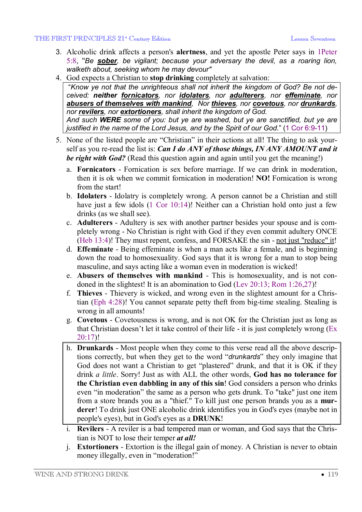#### THE FIRST PRINCIPLES 21<sup>st</sup> Century Edition Lesson Seventeen Lesson Seventeen

- 3. Alcoholic drink affects a person's **alertness**, and yet the apostle Peter says in 1Peter 5:8, "*Be sober, be vigilant; because your adversary the devil, as a roaring lion, walketh about, seeking whom he may devour"*
- 4. God expects a Christian to **stop drinking** completely at salvation:

 "*Know ye not that the unrighteous shall not inherit the kingdom of God? Be not deceived: neither fornicators, nor idolaters, nor adulterers, nor effeminate, nor abusers of themselves with mankind, Nor thieves, nor covetous, nor drunkards, nor revilers, nor extortioners, shall inherit the kingdom of God. And such WERE some of you: but ye are washed, but ye are sanctified, but ye are justified in the name of the Lord Jesus, and by the Spirit of our God*." (1 Cor 6:9-11)

- 5. None of the listed people are "Christian" in their actions at all! The thing to ask yourself as you re-read the list is: *Can I do ANY of those things, IN ANY AMOUNT and it be right with God?* (Read this question again and again until you get the meaning!)
	- a. **Fornicators** Fornication is sex before marriage. If we can drink in moderation, then it is ok when we commit fornication in moderation! **NO!** Fornication is wrong from the start!
	- b. **Idolaters** Idolatry is completely wrong. A person cannot be a Christian and still have just a few idols (1 Cor 10:14)! Neither can a Christian hold onto just a few drinks (as we shall see).
	- c. **Adulterers** Adultery is sex with another partner besides your spouse and is completely wrong - No Christian is right with God if they even commit adultery ONCE (Heb 13:4)! They must repent, confess, and FORSAKE the sin - not just "reduce" it!
	- d. **Effeminate** Being effeminate is when a man acts like a female, and is beginning down the road to homosexuality. God says that it is wrong for a man to stop being masculine, and says acting like a woman even in moderation is wicked!
	- e. **Abusers of themselves with mankind** This is homosexuality, and is not condoned in the slightest! It is an abomination to God (Lev 20:13; Rom 1:26,27)!
	- f. **Thieves** Thievery is wicked, and wrong even in the slightest amount for a Christian (Eph 4:28)! You cannot separate petty theft from big-time stealing. Stealing is wrong in all amounts!
	- g. **Covetous** Covetousness is wrong, and is not OK for the Christian just as long as that Christian doesn't let it take control of their life - it is just completely wrong (Ex 20:17)!
	- h. **Drunkards** Most people when they come to this verse read all the above descriptions correctly, but when they get to the word "*drunkards*" they only imagine that God does not want a Christian to get "plastered" drunk, and that it is OK if they drink *a little*. Sorry! Just as with ALL the other words, **God has no tolerance for the Christian even dabbling in any of this sin**! God considers a person who drinks even "in moderation" the same as a person who gets drunk. To "take" just one item from a store brands you as a "thief." To kill just one person brands you as a **murderer**! To drink just ONE alcoholic drink identifies you in God's eyes (maybe not in people's eyes), but in God's eyes as a **DRUNK**!
	- i. **Revilers** A reviler is a bad tempered man or woman, and God says that the Christian is NOT to lose their temper *at all!*
	- j. **Extortioners** Extortion is the illegal gain of money. A Christian is never to obtain money illegally, even in "moderation!"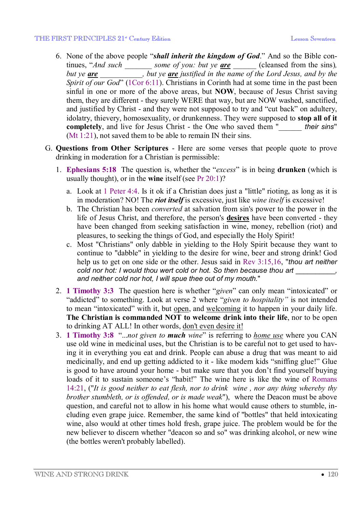#### THE FIRST PRINCIPLES 21<sup>st</sup> Century Edition Lesson Seventeen Lesson Seventeen

- 6. None of the above people "*shall inherit the kingdom of God*." And so the Bible continues, "*And such* \_\_\_\_\_\_\_ *some of you: but ye* <u>**are**</u> \_\_\_\_\_\_ (cleansed from the sins), *but ye are* \_\_\_\_\_\_\_\_\_\_\_*, but ye are justified in the name of the Lord Jesus, and by the Spirit of our God*" (1Cor 6:11). Christians in Corinth had at some time in the past been sinful in one or more of the above areas, but **NOW**, because of Jesus Christ saving them, they are different - they surely WERE that way, but are NOW washed, sanctified, and justified by Christ - and they were not supposed to try and "cut back" on adultery, idolatry, thievery, homosexuality, or drunkenness. They were supposed to **stop all of it completely**, and live for Jesus Christ - the One who saved them "\_\_\_\_\_\_ *their sins*" (Mt 1:21), not saved them to be able to remain IN their sins.
- G. **Questions from Other Scriptures** Here are some verses that people quote to prove drinking in moderation for a Christian is permissible:
	- 1. **Ephesians 5:18** The question is, whether the "*excess*" is in being **drunken** (which is usually thought), or in the **wine** itself (see Pr 20:1)?
		- a. Look at 1 Peter 4:4. Is it ok if a Christian does just a "little" rioting, as long as it is in moderation? NO! The *riot itself* is excessive, just like *wine itself* is excessive!
		- b. The Christian has been *converted* at salvation from sin's power to the power in the life of Jesus Christ, and therefore, the person's **desires** have been converted - they have been changed from seeking satisfaction in wine, money, rebellion (riot) and pleasures, to seeking the things of God, and especially the Holy Spirit!
		- c. Most "Christians" only dabble in yielding to the Holy Spirit because they want to continue to "dabble" in yielding to the desire for wine, beer and strong drink! God help us to get on one side or the other. Jesus said in Rev 3:15,16, "*thou art neither cold nor hot: I would thou wert cold or hot. So then because thou art* \_\_\_\_\_\_\_\_\_\_*, and neither cold nor hot, I will spue thee out of my mouth.*"
	- 2. **1 Timothy 3:3** The question here is whether "*given*" can only mean "intoxicated" or "addicted" to something. Look at verse 2 where "*given to hospitality"* is not intended to mean "intoxicated" with it, but open, and welcoming it to happen in your daily life. **The Christian is commanded NOT to welcome drink into their life**, nor to be open to drinking AT ALL! In other words, don't even desire it!
	- 3. **1 Timothy 3:8** "...*not given to much wine*" is referring to *home use* where you CAN use old wine in medicinal uses, but the Christian is to be careful not to get used to having it in everything you eat and drink. People can abuse a drug that was meant to aid medicinally, and end up getting addicted to it - like modern kids "sniffing glue!" Glue is good to have around your home - but make sure that you don't find yourself buying loads of it to sustain someone's "habit!" The wine here is like the wine of Romans 14:21, ("*It is good neither to eat flesh, nor to drink wine , nor any thing whereby thy brother stumbleth, or is offended, or is made weak*"), where the Deacon must be above question, and careful not to allow in his home what would cause others to stumble, including even grape juice. Remember, the same kind of "bottles" that held intoxicating wine, also would at other times hold fresh, grape juice. The problem would be for the new believer to discern whether "deacon so and so" was drinking alcohol, or new wine (the bottles weren't probably labelled).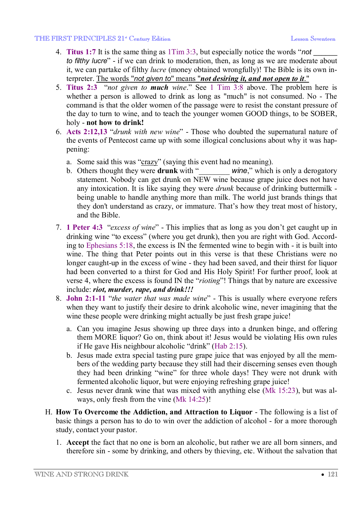#### THE FIRST PRINCIPLES 21<sup>st</sup> Century Edition Lesson Seventeen Lesson Seventeen

- 4. **Titus 1:7** It is the same thing as 1Tim 3:3, but especially notice the words "*not* \_\_\_\_\_\_ *to filthy lucre*" - if we can drink to moderation, then, as long as we are moderate about it, we can partake of filthy *lucre* (money obtained wrongfully)! The Bible is its own interpreter. The words "*not given to*" means "*not desiring it, and not open to it*."
- 5. **Titus 2:3** "*not given to much wine*." See 1 Tim 3:8 above. The problem here is whether a person is allowed to drink as long as "much" is not consumed. No - The command is that the older women of the passage were to resist the constant pressure of the day to turn to wine, and to teach the younger women GOOD things, to be SOBER, holy - **not how to drink!**
- 6. **Acts 2:12,13** "*drunk with new wine*" Those who doubted the supernatural nature of the events of Pentecost came up with some illogical conclusions about why it was happening:
	- a. Some said this was "crazy" (saying this event had no meaning).
	- b. Others thought they were **drunk** with "<br>wine," which is only a derogatory statement. Nobody can get drunk on NEW wine because grape juice does not have any intoxication. It is like saying they were *drunk* because of drinking buttermilk being unable to handle anything more than milk. The world just brands things that they don't understand as crazy, or immature. That's how they treat most of history, and the Bible.
- 7. **1 Peter 4:3** "*excess of wine*" This implies that as long as you don't get caught up in drinking wine "to excess" (where you get drunk), then you are right with God. According to Ephesians 5:18, the excess is IN the fermented wine to begin with - it is built into wine. The thing that Peter points out in this verse is that these Christians were no longer caught-up in the excess of wine - they had been saved, and their thirst for liquor had been converted to a thirst for God and His Holy Spirit! For further proof, look at verse 4, where the excess is found IN the "*rioting*"! Things that by nature are excessive include: *riot, murder, rape, and drink!!!*
- 8. **John 2:1-11** "*the water that was made wine*" This is usually where everyone refers when they want to justify their desire to drink alcoholic wine, never imagining that the wine these people were drinking might actually be just fresh grape juice!
	- a. Can you imagine Jesus showing up three days into a drunken binge, and offering them MORE liquor? Go on, think about it! Jesus would be violating His own rules if He gave His neighbour alcoholic "drink" (Hab 2:15).
	- b. Jesus made extra special tasting pure grape juice that was enjoyed by all the members of the wedding party because they still had their discerning senses even though they had been drinking "wine" for three whole days! They were not drunk with fermented alcoholic liquor, but were enjoying refreshing grape juice!
	- c. Jesus never drank wine that was mixed with anything else (Mk 15:23), but was always, only fresh from the vine (Mk 14:25)!
- H. **How To Overcome the Addiction, and Attraction to Liquor** The following is a list of basic things a person has to do to win over the addiction of alcohol - for a more thorough study, contact your pastor.
	- 1. **Accept** the fact that no one is born an alcoholic, but rather we are all born sinners, and therefore sin - some by drinking, and others by thieving, etc. Without the salvation that